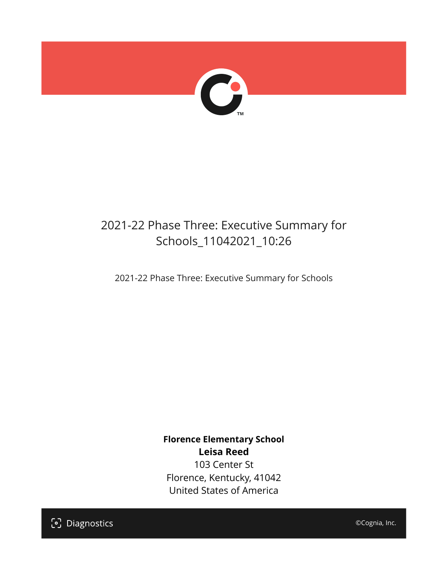

## 2021-22 Phase Three: Executive Summary for Schools\_11042021\_10:26

2021-22 Phase Three: Executive Summary for Schools

**Florence Elementary School Leisa Reed** 103 Center St Florence, Kentucky, 41042 United States of America

[၁] Diagnostics

©Cognia, Inc.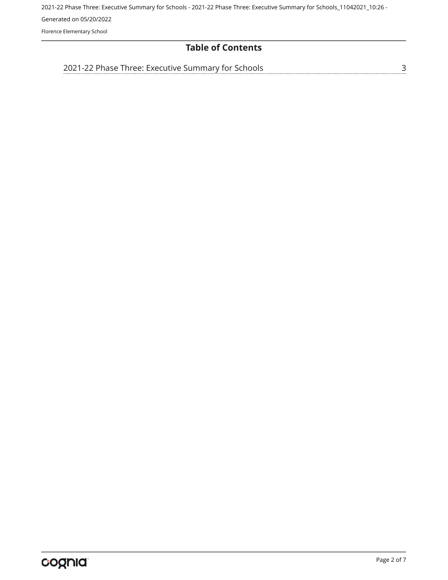Florence Elementary School

#### **Table of Contents**

[2021-22 Phase Three: Executive Summary for Schools](#page-2-0)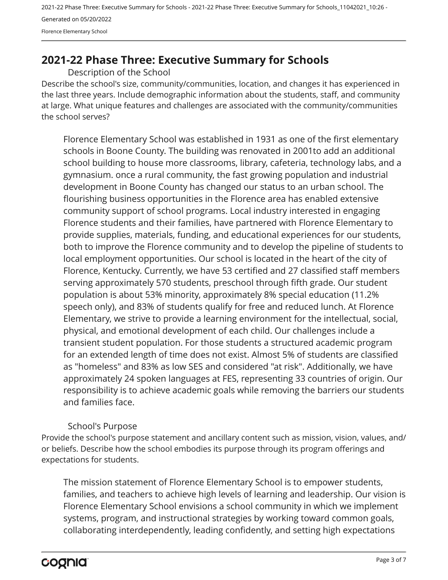### <span id="page-2-0"></span>**2021-22 Phase Three: Executive Summary for Schools**

Description of the School

Describe the school's size, community/communities, location, and changes it has experienced in the last three years. Include demographic information about the students, staff, and community at large. What unique features and challenges are associated with the community/communities the school serves?

Florence Elementary School was established in 1931 as one of the first elementary schools in Boone County. The building was renovated in 2001to add an additional school building to house more classrooms, library, cafeteria, technology labs, and a gymnasium. once a rural community, the fast growing population and industrial development in Boone County has changed our status to an urban school. The flourishing business opportunities in the Florence area has enabled extensive community support of school programs. Local industry interested in engaging Florence students and their families, have partnered with Florence Elementary to provide supplies, materials, funding, and educational experiences for our students, both to improve the Florence community and to develop the pipeline of students to local employment opportunities. Our school is located in the heart of the city of Florence, Kentucky. Currently, we have 53 certified and 27 classified staff members serving approximately 570 students, preschool through fifth grade. Our student population is about 53% minority, approximately 8% special education (11.2% speech only), and 83% of students qualify for free and reduced lunch. At Florence Elementary, we strive to provide a learning environment for the intellectual, social, physical, and emotional development of each child. Our challenges include a transient student population. For those students a structured academic program for an extended length of time does not exist. Almost 5% of students are classified as "homeless" and 83% as low SES and considered "at risk". Additionally, we have approximately 24 spoken languages at FES, representing 33 countries of origin. Our responsibility is to achieve academic goals while removing the barriers our students and families face.

#### School's Purpose

Provide the school's purpose statement and ancillary content such as mission, vision, values, and/ or beliefs. Describe how the school embodies its purpose through its program offerings and expectations for students.

The mission statement of Florence Elementary School is to empower students, families, and teachers to achieve high levels of learning and leadership. Our vision is Florence Elementary School envisions a school community in which we implement systems, program, and instructional strategies by working toward common goals, collaborating interdependently, leading confidently, and setting high expectations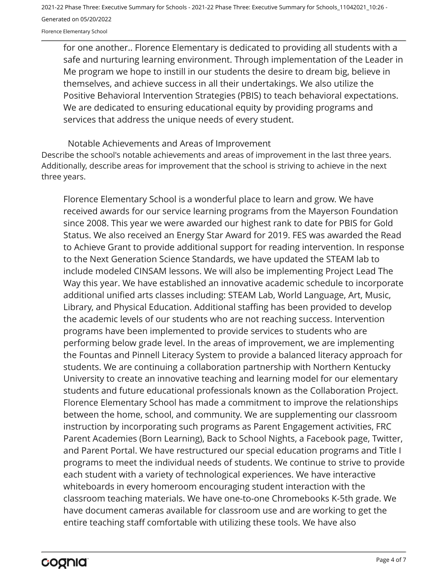Florence Elementary School

for one another.. Florence Elementary is dedicated to providing all students with a safe and nurturing learning environment. Through implementation of the Leader in Me program we hope to instill in our students the desire to dream big, believe in themselves, and achieve success in all their undertakings. We also utilize the Positive Behavioral Intervention Strategies (PBIS) to teach behavioral expectations. We are dedicated to ensuring educational equity by providing programs and services that address the unique needs of every student.

Describe the school's notable achievements and areas of improvement in the last three years. Additionally, describe areas for improvement that the school is striving to achieve in the next three years. Notable Achievements and Areas of Improvement

Florence Elementary School is a wonderful place to learn and grow. We have received awards for our service learning programs from the Mayerson Foundation since 2008. This year we were awarded our highest rank to date for PBIS for Gold Status. We also received an Energy Star Award for 2019. FES was awarded the Read to Achieve Grant to provide additional support for reading intervention. In response to the Next Generation Science Standards, we have updated the STEAM lab to include modeled CINSAM lessons. We will also be implementing Project Lead The Way this year. We have established an innovative academic schedule to incorporate additional unified arts classes including: STEAM Lab, World Language, Art, Music, Library, and Physical Education. Additional staffing has been provided to develop the academic levels of our students who are not reaching success. Intervention programs have been implemented to provide services to students who are performing below grade level. In the areas of improvement, we are implementing the Fountas and Pinnell Literacy System to provide a balanced literacy approach for students. We are continuing a collaboration partnership with Northern Kentucky University to create an innovative teaching and learning model for our elementary students and future educational professionals known as the Collaboration Project. Florence Elementary School has made a commitment to improve the relationships between the home, school, and community. We are supplementing our classroom instruction by incorporating such programs as Parent Engagement activities, FRC Parent Academies (Born Learning), Back to School Nights, a Facebook page, Twitter, and Parent Portal. We have restructured our special education programs and Title I programs to meet the individual needs of students. We continue to strive to provide each student with a variety of technological experiences. We have interactive whiteboards in every homeroom encouraging student interaction with the classroom teaching materials. We have one-to-one Chromebooks K-5th grade. We have document cameras available for classroom use and are working to get the entire teaching staff comfortable with utilizing these tools. We have also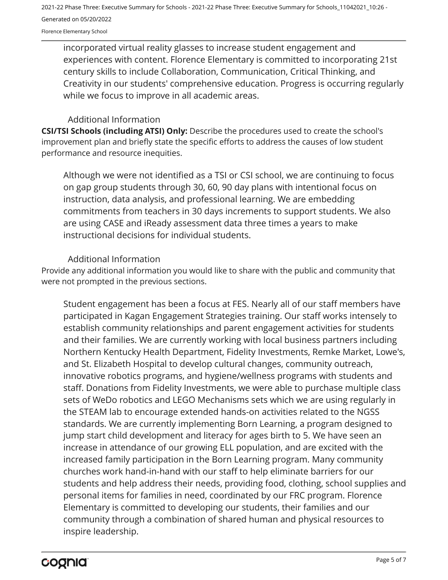Florence Elementary School

incorporated virtual reality glasses to increase student engagement and experiences with content. Florence Elementary is committed to incorporating 21st century skills to include Collaboration, Communication, Critical Thinking, and Creativity in our students' comprehensive education. Progress is occurring regularly while we focus to improve in all academic areas.

#### Additional Information

**CSI/TSI Schools (including ATSI) Only:** Describe the procedures used to create the school's improvement plan and briefly state the specific efforts to address the causes of low student performance and resource inequities.

Although we were not identified as a TSI or CSI school, we are continuing to focus on gap group students through 30, 60, 90 day plans with intentional focus on instruction, data analysis, and professional learning. We are embedding commitments from teachers in 30 days increments to support students. We also are using CASE and iReady assessment data three times a years to make instructional decisions for individual students.

#### Additional Information

Provide any additional information you would like to share with the public and community that were not prompted in the previous sections.

Student engagement has been a focus at FES. Nearly all of our staff members have participated in Kagan Engagement Strategies training. Our staff works intensely to establish community relationships and parent engagement activities for students and their families. We are currently working with local business partners including Northern Kentucky Health Department, Fidelity Investments, Remke Market, Lowe's, and St. Elizabeth Hospital to develop cultural changes, community outreach, innovative robotics programs, and hygiene/wellness programs with students and staff. Donations from Fidelity Investments, we were able to purchase multiple class sets of WeDo robotics and LEGO Mechanisms sets which we are using regularly in the STEAM lab to encourage extended hands-on activities related to the NGSS standards. We are currently implementing Born Learning, a program designed to jump start child development and literacy for ages birth to 5. We have seen an increase in attendance of our growing ELL population, and are excited with the increased family participation in the Born Learning program. Many community churches work hand-in-hand with our staff to help eliminate barriers for our students and help address their needs, providing food, clothing, school supplies and personal items for families in need, coordinated by our FRC program. Florence Elementary is committed to developing our students, their families and our community through a combination of shared human and physical resources to inspire leadership.